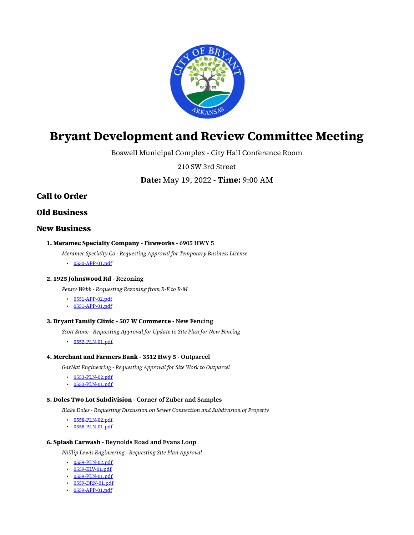

# **Bryant Development and Review Committee Meeting**

Boswell Municipal Complex - City Hall Conference Room

210 SW 3rd Street

**Date:** May 19, 2022 - **Time:** 9:00 AM

# **Call to Order**

**Old Business**

# **New Business**

- **1. Meramec Specialty Company Fireworks 6905 HWY 5**
	- *Meramec Specialty Co Requesting Approval for Temporary Business License*
	- [0550-APP-01.pdf](https://www.cityofbryant.com/grab/agendas/uploads/agenda_108/0550-app-01.pdf)

#### **2. 1925 Johnswood Rd - Rezoning**

*Penny Webb - Requesting Rezoning from R-E to R-M*

- [0551-APP-02.pdf](https://www.cityofbryant.com/grab/agendas/uploads/agenda_108/0551-app-02.pdf)
- [0551-APP-01.pdf](https://www.cityofbryant.com/grab/agendas/uploads/agenda_108/0551-app-01.pdf)

#### **3. Bryant Family Clinic - 507 W Commerce - New Fencing**

*Scott Stone - Requesting Approval for Update to Site Plan for New Fencing*

• [0552-PLN-01.pdf](https://www.cityofbryant.com/grab/agendas/uploads/agenda_108/0552-pln-01.pdf)

## **4. Merchant and Farmers Bank - 3512 Hwy 5 - Outparcel**

*GarNat Engineering - Requesting Approval for Site Work to Outparcel*

- [0553-PLN-02.pdf](https://www.cityofbryant.com/grab/agendas/uploads/agenda_108/0553-pln-02.pdf)
- [0553-PLN-01.pdf](https://www.cityofbryant.com/grab/agendas/uploads/agenda_108/0553-pln-01.pdf)

#### **5. Doles Two Lot Subdivision - Corner of Zuber and Samples**

*Blake Doles - Requesting Discussion on Sewer Connection and Subdivision of Property*

- [0558-PLN-02.pdf](https://www.cityofbryant.com/grab/agendas/uploads/agenda_108/0558-pln-02.pdf)
- [0558-PLN-01.pdf](https://www.cityofbryant.com/grab/agendas/uploads/agenda_108/0558-pln-01.pdf)

#### **6. Splash Carwash - Reynolds Road and Evans Loop**

*Phillip Lewis Engineering - Requesting Site Plan Approval*

- [0559-PLN-02.pdf](https://www.cityofbryant.com/grab/agendas/uploads/agenda_108/0559-pln-02.pdf)
- [0559-ELV-01.pdf](https://www.cityofbryant.com/grab/agendas/uploads/agenda_108/0559-elv-01.pdf)
- [0559-PLN-01.pdf](https://www.cityofbryant.com/grab/agendas/uploads/agenda_108/0559-pln-01.pdf)
- [0559-DRN-01.pdf](https://www.cityofbryant.com/grab/agendas/uploads/agenda_108/0559-drn-01.pdf)
- [0559-APP-01.pdf](https://www.cityofbryant.com/grab/agendas/uploads/agenda_108/0559-app-01.pdf)